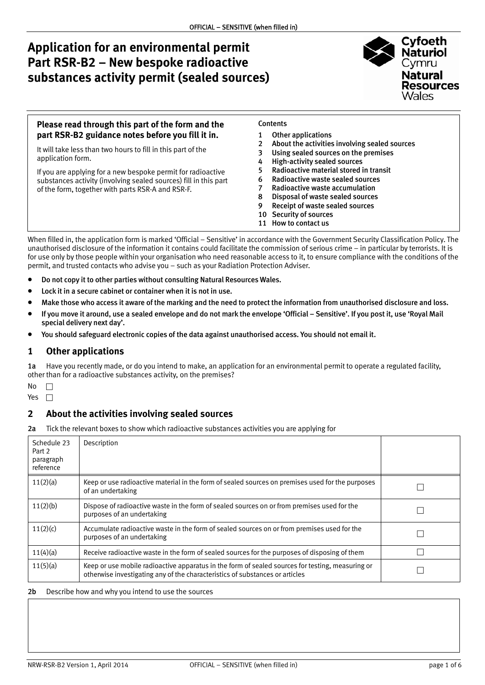# **Application for an environmental permit Part RSR-B2 – New bespoke radioactive substances activity permit (sealed sources)**



| Please read through this part of the form and the                                                                                                                                     | <b>Contents</b>                                                                                                                                                                                                                                 |
|---------------------------------------------------------------------------------------------------------------------------------------------------------------------------------------|-------------------------------------------------------------------------------------------------------------------------------------------------------------------------------------------------------------------------------------------------|
| part RSR-B2 guidance notes before you fill it in.                                                                                                                                     | <b>Other applications</b>                                                                                                                                                                                                                       |
| It will take less than two hours to fill in this part of the<br>application form.                                                                                                     | About the activities involving sealed sources<br>$2^{\circ}$<br>Using sealed sources on the premises<br><b>High-activity sealed sources</b><br>4                                                                                                |
| If you are applying for a new bespoke permit for radioactive<br>substances activity (involving sealed sources) fill in this part<br>of the form, together with parts RSR-A and RSR-F. | Radioactive material stored in transit<br>Radioactive waste sealed sources<br>Radioactive waste accumulation<br>Disposal of waste sealed sources<br>8<br>Receipt of waste sealed sources<br>9<br>10 Security of sources<br>11 How to contact us |

When filled in, the application form is marked 'Official – Sensitive' in accordance with the Government Security Classification Policy. The unauthorised disclosure of the information it contains could facilitate the commission of serious crime – in particular by terrorists. It is for use only by those people within your organisation who need reasonable access to it, to ensure compliance with the conditions of the permit, and trusted contacts who advise you – such as your Radiation Protection Adviser.

- Do not copy it to other parties without consulting Natural Resources Wales.
- Lock it in a secure cabinet or container when it is not in use.
- Make those who access it aware of the marking and the need to protect the information from unauthorised disclosure and loss.
- If you move it around, use a sealed envelope and do not mark the envelope 'Official Sensitive'. If you post it, use 'Royal Mail special delivery next day'.
- You should safeguard electronic copies of the data against unauthorised access. You should not email it.

#### **1 Other applications**

1a Have you recently made, or do you intend to make, an application for an environmental permit to operate a regulated facility, other than for a radioactive substances activity, on the premises?

- $No$   $\Box$
- Yes  $\Box$

#### **2 About the activities involving sealed sources**

2a Tick the relevant boxes to show which radioactive substances activities you are applying for

| Schedule 23<br>Part 2<br>paragraph<br>reference | Description                                                                                                                                                                      |  |
|-------------------------------------------------|----------------------------------------------------------------------------------------------------------------------------------------------------------------------------------|--|
| 11(2)(a)                                        | Keep or use radioactive material in the form of sealed sources on premises used for the purposes<br>of an undertaking                                                            |  |
| 11(2)(b)                                        | Dispose of radioactive waste in the form of sealed sources on or from premises used for the<br>purposes of an undertaking                                                        |  |
| 11(2)(c)                                        | Accumulate radioactive waste in the form of sealed sources on or from premises used for the<br>purposes of an undertaking                                                        |  |
| 11(4)(a)                                        | Receive radioactive waste in the form of sealed sources for the purposes of disposing of them                                                                                    |  |
| 11(5)(a)                                        | Keep or use mobile radioactive apparatus in the form of sealed sources for testing, measuring or<br>otherwise investigating any of the characteristics of substances or articles |  |

#### 2b Describe how and why you intend to use the sources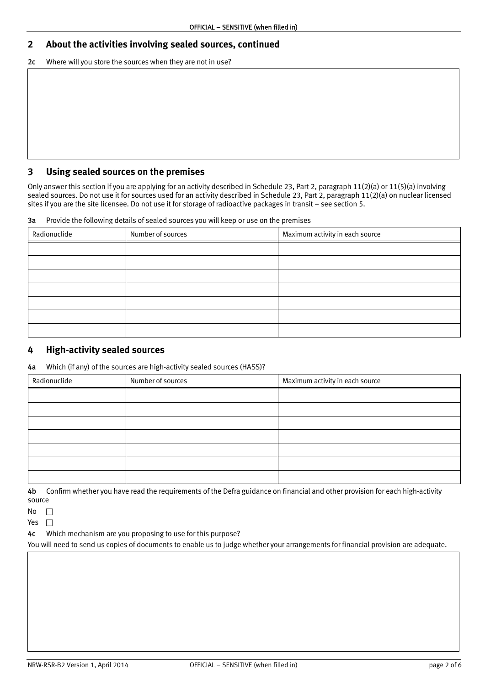## <span id="page-1-0"></span>**2 About the activities involving sealed sources, continued**

2c Where will you store the sources when they are not in use?

#### **3 Using sealed sources on the premises**

Only answer this section if you are applying for an activity described in Schedule 23, Part 2, paragraph 11(2)(a) or 11(5)(a) involving sealed sources. Do not use it for sources used for an activity described in Schedule 23, Part 2, paragraph 11(2)(a) on nuclear licensed sites if you are the site licensee. Do not use it for storage of radioactive packages in transit – see section 5.

3a Provide the following details of sealed sources you will keep or use on the premises

| Radionuclide | Maximum activity in each source<br>Number of sources |  |
|--------------|------------------------------------------------------|--|
|              |                                                      |  |
|              |                                                      |  |
|              |                                                      |  |
|              |                                                      |  |
|              |                                                      |  |
|              |                                                      |  |
|              |                                                      |  |

#### **4 High-activity sealed sources**

4a Which (if any) of the sources are high-activity sealed sources (HASS)?

| Radionuclide | Maximum activity in each source<br>Number of sources |  |
|--------------|------------------------------------------------------|--|
|              |                                                      |  |
|              |                                                      |  |
|              |                                                      |  |
|              |                                                      |  |
|              |                                                      |  |
|              |                                                      |  |
|              |                                                      |  |

4b Confirm whether you have read the requirements of the Defra guidance on financial and other provision for each high-activity source

 $No \quad \Box$ 

Yes  $\Box$ 

4c Which mechanism are you proposing to use for this purpose?

You will need to send us copies of documents to enable us to judge whether your arrangements for financial provision are adequate.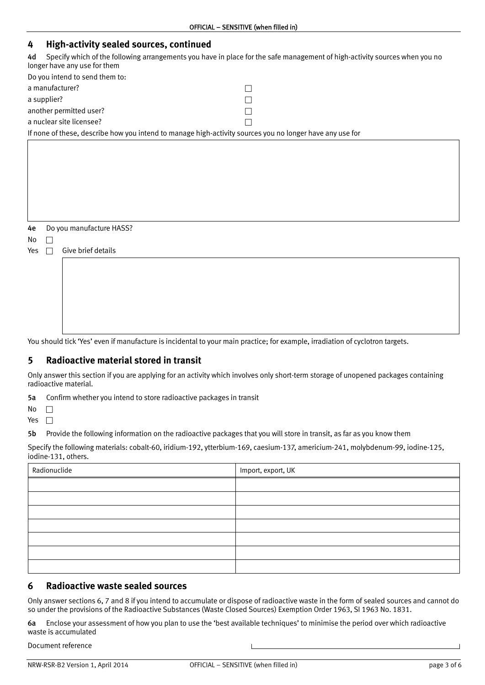<span id="page-2-0"></span>

| <b>High-activity sealed sources, continued</b><br>4                                                                                                              |  |  |  |
|------------------------------------------------------------------------------------------------------------------------------------------------------------------|--|--|--|
| Specify which of the following arrangements you have in place for the safe management of high-activity sources when you no<br>4d<br>longer have any use for them |  |  |  |
| Do you intend to send them to:                                                                                                                                   |  |  |  |
| a manufacturer?                                                                                                                                                  |  |  |  |
| a supplier?                                                                                                                                                      |  |  |  |
| another permitted user?                                                                                                                                          |  |  |  |
| a nuclear site licensee?                                                                                                                                         |  |  |  |
| If none of these, describe how you intend to manage high-activity sources you no longer have any use for                                                         |  |  |  |
|                                                                                                                                                                  |  |  |  |
|                                                                                                                                                                  |  |  |  |
|                                                                                                                                                                  |  |  |  |
|                                                                                                                                                                  |  |  |  |
|                                                                                                                                                                  |  |  |  |
|                                                                                                                                                                  |  |  |  |
|                                                                                                                                                                  |  |  |  |
| Do you manufacture HASS?<br>4e                                                                                                                                   |  |  |  |
| No                                                                                                                                                               |  |  |  |
| Give brief details<br>Yes                                                                                                                                        |  |  |  |
|                                                                                                                                                                  |  |  |  |
|                                                                                                                                                                  |  |  |  |
|                                                                                                                                                                  |  |  |  |
|                                                                                                                                                                  |  |  |  |

You should tick 'Yes' even if manufacture is incidental to your main practice; for example, irradiation of cyclotron targets.

#### **5 Radioactive material stored in transit**

Only answer this section if you are applying for an activity which involves only short-term storage of unopened packages containing radioactive material.

5a Confirm whether you intend to store radioactive packages in transit

No  $\Box$ 

Yes  $\Box$ 

5b Provide the following information on the radioactive packages that you will store in transit, as far as you know them

Specify the following materials: cobalt-60, iridium-192, ytterbium-169, caesium-137, americium-241, molybdenum-99, iodine-125, iodine-131, others.

| Radionuclide | Import, export, UK |
|--------------|--------------------|
|              |                    |
|              |                    |
|              |                    |
|              |                    |
|              |                    |
|              |                    |
|              |                    |

#### **6 Radioactive waste sealed sources**

Only answer sections 6, 7 and 8 if you intend to accumulate or dispose of radioactive waste in the form of sealed sources and cannot do so under the provisions of the Radioactive Substances (Waste Closed Sources) Exemption Order 1963, SI 1963 No. 1831.

6a Enclose your assessment of how you plan to use the 'best available techniques' to minimise the period over which radioactive waste is accumulated

Document reference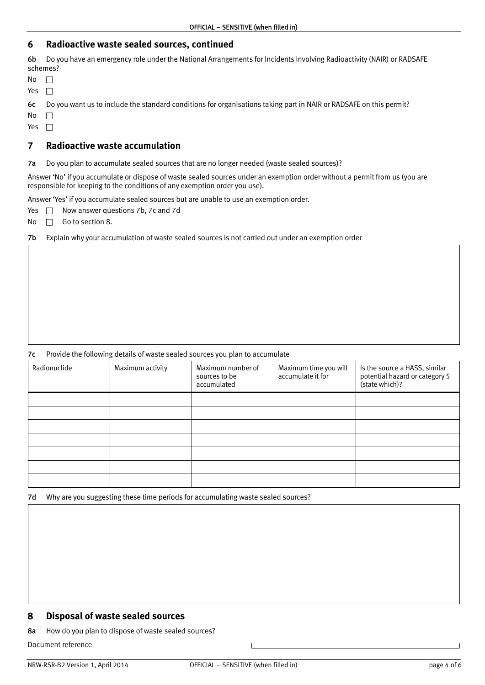#### <span id="page-3-0"></span>**6 Radioactive waste sealed sources, continued**

6b Do you have an emergency role under the National Arrangements for Incidents Involving Radioactivity (NAIR) or RADSAFE schemes?

| חוח          |  |
|--------------|--|
| ٧<br>÷.<br>∽ |  |

6c Do you want us to include the standard conditions for organisations taking part in NAIR or RADSAFE on this permit?

No  $\square$ 

Yes  $\Box$ 

#### **7 Radioactive waste accumulation**

7a Do you plan to accumulate sealed sources that are no longer needed (waste sealed sources)?

Answer 'No' if you accumulate or dispose of waste sealed sources under an exemption order without a permit from us (you are responsible for keeping to the conditions of any exemption order you use).

Answer 'Yes' if you accumulate sealed sources but are unable to use an exemption order.

Yes  $\Box$  Now answer questions 7b, 7c and 7d

No  $\Box$  Go to section 8.

7b Explain why your accumulation of waste sealed sources is not carried out under an exemption order

#### 7c Provide the following details of waste sealed sources you plan to accumulate

| Radionuclide | Maximum activity | Maximum number of<br>sources to be<br>accumulated | Maximum time you will<br>accumulate it for | Is the source a HASS, similar<br>potential hazard or category 5<br>(state which)? |
|--------------|------------------|---------------------------------------------------|--------------------------------------------|-----------------------------------------------------------------------------------|
|              |                  |                                                   |                                            |                                                                                   |
|              |                  |                                                   |                                            |                                                                                   |
|              |                  |                                                   |                                            |                                                                                   |
|              |                  |                                                   |                                            |                                                                                   |
|              |                  |                                                   |                                            |                                                                                   |
|              |                  |                                                   |                                            |                                                                                   |
|              |                  |                                                   |                                            |                                                                                   |

7d Why are you suggesting these time periods for accumulating waste sealed sources?

### **8 Disposal of waste sealed sources**

8a How do you plan to dispose of waste sealed sources?

Document reference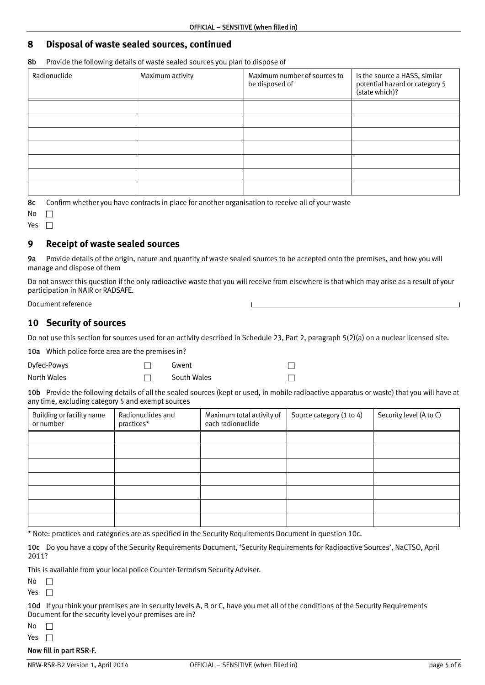#### <span id="page-4-0"></span>**8 Disposal of waste sealed sources, continued**

8b Provide the following details of waste sealed sources you plan to dispose of

| Radionuclide | Maximum activity | Maximum number of sources to<br>be disposed of | Is the source a HASS, similar<br>potential hazard or category 5<br>(state which)? |
|--------------|------------------|------------------------------------------------|-----------------------------------------------------------------------------------|
|              |                  |                                                |                                                                                   |
|              |                  |                                                |                                                                                   |
|              |                  |                                                |                                                                                   |
|              |                  |                                                |                                                                                   |
|              |                  |                                                |                                                                                   |
|              |                  |                                                |                                                                                   |
|              |                  |                                                |                                                                                   |

8c Confirm whether you have contracts in place for another organisation to receive all of your waste

| N<br>n |  |
|--------|--|
| v<br>z |  |

## **9 Receipt of waste sealed sources**

9a Provide details of the origin, nature and quantity of waste sealed sources to be accepted onto the premises, and how you will manage and dispose of them

Do not answer this question if the only radioactive waste that you will receive from elsewhere is that which may arise as a result of your participation in NAIR or RADSAFE.

Document reference

## **10 Security of sources**

Do not use this section for sources used for an activity described in Schedule 23, Part 2, paragraph 5(2)(a) on a nuclear licensed site.

10a Which police force area are the premises in?

 $D$ yfed-Powys  $\Box$  Gwent  $\Box$ North Wales  $\Box$  South Wales  $\Box$ 

10b Provide the following details of all the sealed sources (kept or used, in mobile radioactive apparatus or waste) that you will have at any time, excluding category 5 and exempt sources

| Building or facility name<br>or number | Radionuclides and<br>practices* | Maximum total activity of<br>each radionuclide | Source category (1 to 4) | Security level (A to C) |
|----------------------------------------|---------------------------------|------------------------------------------------|--------------------------|-------------------------|
|                                        |                                 |                                                |                          |                         |
|                                        |                                 |                                                |                          |                         |
|                                        |                                 |                                                |                          |                         |
|                                        |                                 |                                                |                          |                         |
|                                        |                                 |                                                |                          |                         |
|                                        |                                 |                                                |                          |                         |
|                                        |                                 |                                                |                          |                         |

\* Note: practices and categories are as specified in the Security Requirements Document in question 10c.

10c Do you have a copy of the Security Requirements Document, 'Security Requirements for Radioactive Sources', NaCTSO, April 2011?

This is available from your local police Counter-Terrorism Security Adviser.

 $No$   $\Box$ 

Yes  $\Box$ 

10d If you think your premises are in security levels A, B or C, have you met all of the conditions of the Security Requirements Document for the security level your premises are in?

No  $\Box$ 

Yes  $\Box$ 

#### Now fill in part RSR-F.